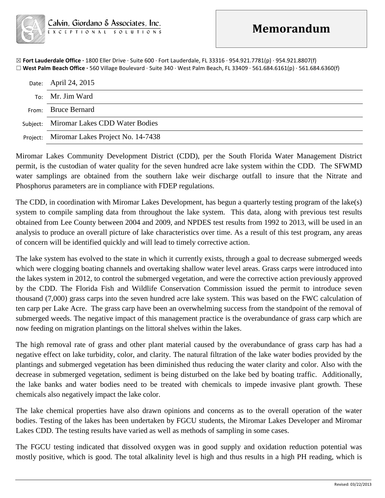☒ **Fort Lauderdale Office ·** 1800 Eller Drive · Suite 600 · Fort Lauderdale, FL 33316 · 954.921.7781(p) · 954.921.8807(f) ☐ **West Palm Beach Office ·** 560 Village Boulevard · Suite 340 · West Palm Beach, FL 33409 · 561.684.6161(p) · 561.684.6360(f)

| Date: April 24, 2015                       |
|--------------------------------------------|
| To: Mr. Jim Ward                           |
| From: Bruce Bernard                        |
| Subject: Miromar Lakes CDD Water Bodies    |
| Project: Miromar Lakes Project No. 14-7438 |

Miromar Lakes Community Development District (CDD), per the South Florida Water Management District permit, is the custodian of water quality for the seven hundred acre lake system within the CDD. The SFWMD water samplings are obtained from the southern lake weir discharge outfall to insure that the Nitrate and Phosphorus parameters are in compliance with FDEP regulations.

The CDD, in coordination with Miromar Lakes Development, has begun a quarterly testing program of the lake(s) system to compile sampling data from throughout the lake system. This data, along with previous test results obtained from Lee County between 2004 and 2009, and NPDES test results from 1992 to 2013, will be used in an analysis to produce an overall picture of lake characteristics over time. As a result of this test program, any areas of concern will be identified quickly and will lead to timely corrective action.

The lake system has evolved to the state in which it currently exists, through a goal to decrease submerged weeds which were clogging boating channels and overtaking shallow water level areas. Grass carps were introduced into the lakes system in 2012, to control the submerged vegetation, and were the corrective action previously approved by the CDD. The Florida Fish and Wildlife Conservation Commission issued the permit to introduce seven thousand (7,000) grass carps into the seven hundred acre lake system. This was based on the FWC calculation of ten carp per Lake Acre. The grass carp have been an overwhelming success from the standpoint of the removal of submerged weeds. The negative impact of this management practice is the overabundance of grass carp which are now feeding on migration plantings on the littoral shelves within the lakes.

The high removal rate of grass and other plant material caused by the overabundance of grass carp has had a negative effect on lake turbidity, color, and clarity. The natural filtration of the lake water bodies provided by the plantings and submerged vegetation has been diminished thus reducing the water clarity and color. Also with the decrease in submerged vegetation, sediment is being disturbed on the lake bed by boating traffic. Additionally, the lake banks and water bodies need to be treated with chemicals to impede invasive plant growth. These chemicals also negatively impact the lake color.

The lake chemical properties have also drawn opinions and concerns as to the overall operation of the water bodies. Testing of the lakes has been undertaken by FGCU students, the Miromar Lakes Developer and Miromar Lakes CDD. The testing results have varied as well as methods of sampling in some cases.

The FGCU testing indicated that dissolved oxygen was in good supply and oxidation reduction potential was mostly positive, which is good. The total alkalinity level is high and thus results in a high PH reading, which is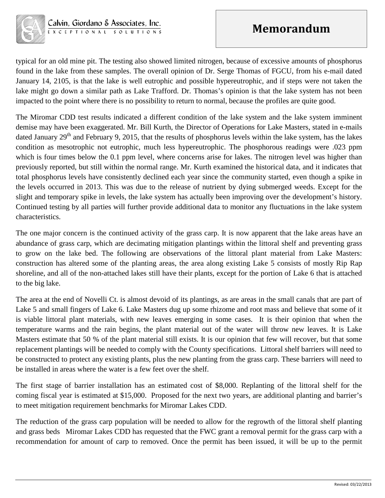

typical for an old mine pit. The testing also showed limited nitrogen, because of excessive amounts of phosphorus found in the lake from these samples. The overall opinion of Dr. Serge Thomas of FGCU, from his e-mail dated January 14, 2105, is that the lake is well eutrophic and possible hypereutrophic, and if steps were not taken the lake might go down a similar path as Lake Trafford. Dr. Thomas's opinion is that the lake system has not been impacted to the point where there is no possibility to return to normal, because the profiles are quite good.

The Miromar CDD test results indicated a different condition of the lake system and the lake system imminent demise may have been exaggerated. Mr. Bill Kurth, the Director of Operations for Lake Masters, stated in e-mails dated January  $29<sup>th</sup>$  and February 9, 2015, that the results of phosphorus levels within the lake system, has the lakes condition as mesotrophic not eutrophic, much less hypereutrophic. The phosphorous readings were .023 ppm which is four times below the 0.1 ppm level, where concerns arise for lakes. The nitrogen level was higher than previously reported, but still within the normal range. Mr. Kurth examined the historical data, and it indicates that total phosphorus levels have consistently declined each year since the community started, even though a spike in the levels occurred in 2013. This was due to the release of nutrient by dying submerged weeds. Except for the slight and temporary spike in levels, the lake system has actually been improving over the development's history. Continued testing by all parties will further provide additional data to monitor any fluctuations in the lake system characteristics.

The one major concern is the continued activity of the grass carp. It is now apparent that the lake areas have an abundance of grass carp, which are decimating mitigation plantings within the littoral shelf and preventing grass to grow on the lake bed. The following are observations of the littoral plant material from Lake Masters: construction has altered some of the planting areas, the area along existing Lake 5 consists of mostly Rip Rap shoreline, and all of the non-attached lakes still have their plants, except for the portion of Lake 6 that is attached to the big lake.

The area at the end of Novelli Ct. is almost devoid of its plantings, as are areas in the small canals that are part of Lake 5 and small fingers of Lake 6. Lake Masters dug up some rhizome and root mass and believe that some of it is viable littoral plant materials, with new leaves emerging in some cases. It is their opinion that when the temperature warms and the rain begins, the plant material out of the water will throw new leaves. It is Lake Masters estimate that 50 % of the plant material still exists. It is our opinion that few will recover, but that some replacement plantings will be needed to comply with the County specifications. Littoral shelf barriers will need to be constructed to protect any existing plants, plus the new planting from the grass carp. These barriers will need to be installed in areas where the water is a few feet over the shelf.

The first stage of barrier installation has an estimated cost of \$8,000. Replanting of the littoral shelf for the coming fiscal year is estimated at \$15,000. Proposed for the next two years, are additional planting and barrier's to meet mitigation requirement benchmarks for Miromar Lakes CDD.

The reduction of the grass carp population will be needed to allow for the regrowth of the littoral shelf planting and grass beds Miromar Lakes CDD has requested that the FWC grant a removal permit for the grass carp with a recommendation for amount of carp to removed. Once the permit has been issued, it will be up to the permit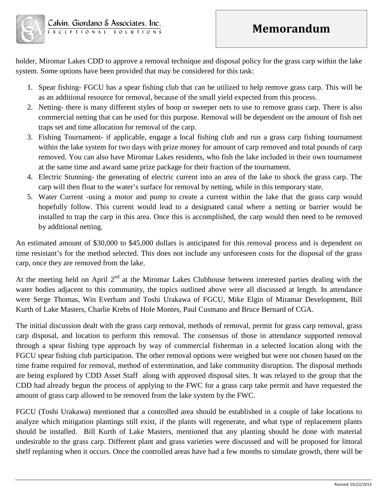## **Memorandum**



holder, Miromar Lakes CDD to approve a removal technique and disposal policy for the grass carp within the lake system. Some options have been provided that may be considered for this task:

- 1. Spear fishing- FGCU has a spear fishing club that can be utilized to help remove grass carp. This will be as an additional resource for removal, because of the small yield expected from this process.
- 2. Netting- there is many different styles of hoop or sweeper nets to use to remove grass carp. There is also commercial netting that can be used for this purpose. Removal will be dependent on the amount of fish net traps set and time allocation for removal of the carp.
- 3. Fishing Tournament- if applicable, engage a local fishing club and run a grass carp fishing tournament within the lake system for two days with prize money for amount of carp removed and total pounds of carp removed. You can also have Miromar Lakes residents, who fish the lake included in their own tournament at the same time and award same prize package for their fraction of the tournament.
- 4. Electric Stunning- the generating of electric current into an area of the lake to shock the grass carp. The carp will then float to the water's surface for removal by netting, while in this temporary state.
- 5. Water Current -using a motor and pump to create a current within the lake that the grass carp would hopefully follow. This current would lead to a designated canal where a netting or barrier would be installed to trap the carp in this area. Once this is accomplished, the carp would then need to be removed by additional netting.

An estimated amount of \$30,000 to \$45,000 dollars is anticipated for this removal process and is dependent on time resistant's for the method selected. This does not include any unforeseen costs for the disposal of the grass carp, once they are removed from the lake.

At the meeting held on April  $2<sup>nd</sup>$  at the Miromar Lakes Clubhouse between interested parties dealing with the water bodies adjacent to this community, the topics outlined above were all discussed at length. In attendance were Serge Thomas, Win Everham and Toshi Urakawa of FGCU, Mike Elgin of Miramar Development, Bill Kurth of Lake Masters, Charlie Krebs of Hole Montes, Paul Cusmano and Bruce Bernard of CGA.

The initial discussion dealt with the grass carp removal, methods of removal, permit for grass carp removal, grass carp disposal, and location to perform this removal. The consensus of those in attendance supported removal through a spear fishing type approach by way of commercial fisherman in a selected location along with the FGCU spear fishing club participation. The other removal options were weighed but were not chosen based on the time frame required for removal, method of extermination, and lake community disruption. The disposal methods are being explored by CDD Asset Staff along with approved disposal sites. It was relayed to the group that the CDD had already begun the process of applying to the FWC for a grass carp take permit and have requested the amount of grass carp allowed to be removed from the lake system by the FWC.

FGCU (Toshi Urakawa) mentioned that a controlled area should be established in a couple of lake locations to analyze which mitigation plantings still exist, if the plants will regenerate, and what type of replacement plants should be installed. Bill Kurth of Lake Masters, mentioned that any planting should be done with material undesirable to the grass carp. Different plant and grass varieties were discussed and will be proposed for littoral shelf replanting when it occurs. Once the controlled areas have had a few months to simulate growth, there will be